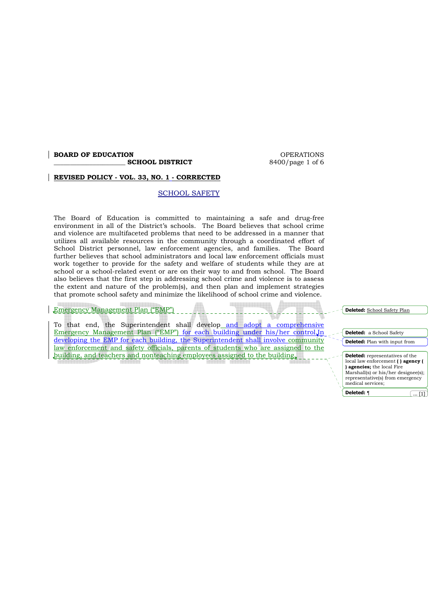### **BOARD OF EDUCATION BOARD OPERATIONS**

**SCHOOL DISTRICT** 8400/page 1 of 6

#### **REVISED POLICY - VOL. 33, NO. 1 - CORRECTED**

#### SCHOOL SAFETY

The Board of Education is committed to maintaining a safe and drug-free environment in all of the District's schools. The Board believes that school crime and violence are multifaceted problems that need to be addressed in a manner that utilizes all available resources in the community through a coordinated effort of School District personnel, law enforcement agencies, and families. The Board further believes that school administrators and local law enforcement officials must work together to provide for the safety and welfare of students while they are at school or a school-related event or are on their way to and from school*.* The Board also believes that the first step in addressing school crime and violence is to assess the extent and nature of the problem(s), and then plan and implement strategies that promote school safety and minimize the likelihood of school crime and violence.

#### Emergency Management Plan ("EMP")

To that end, the Superintendent shall develop and adopt a comprehensive Emergency Management Plan ("EMP") for each building under his/her control.In developing the EMP for each building, the Superintendent shall involve community law enforcement and safety officials, parents of students who are assigned to the building, and teachers and nonteaching employees assigned to the building.

**Deleted:** a School Safety **Deleted:** Plan with input from **Deleted:** representatives of the local law enforcement **( ) agency ( ) agencies;** the local Fire Marshall(s) or his/her designee(s); representative(s) from emergency medical services; **Deleted: 1** ... **11** 

**Deleted:** School Safety Plan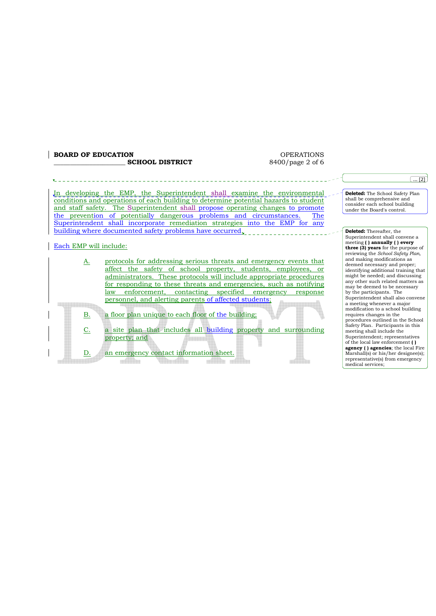#### $\begin{tabular}{ll} \bf \textcolor{red}{\textbf{BOARD OF EDUCATION}} \\ \hline \multicolumn{2}{c}{\textbf{SCHOOL DISTRICT}} \\ \multicolumn{2}{c}{\textbf{SCHOOL DISTRICT}} \\ \end{tabular}$ **\_\_\_\_\_\_\_\_\_\_\_\_\_\_\_\_\_\_\_\_\_\_ SCHOOL DISTRICT** 8400/page 2 of 6

|                        |                                                                                                                                                                                                                                                                                                                                                                                                                    | $\ldots$ [2]                                                                                                                                     |
|------------------------|--------------------------------------------------------------------------------------------------------------------------------------------------------------------------------------------------------------------------------------------------------------------------------------------------------------------------------------------------------------------------------------------------------------------|--------------------------------------------------------------------------------------------------------------------------------------------------|
|                        | In developing the EMP, the Superintendent shall examine the environmental<br>conditions and operations of each building to determine potential hazards to student<br>and staff safety. The Superintendent shall propose operating changes to promote<br>the prevention of potentially dangerous problems and circumstances.<br>The<br>Superintendent shall incorporate remediation strategies into the EMP for any | Deleted: The School Safety Plan<br>shall be comprehensive and<br>consider each school building<br>under the Board's control.                     |
|                        | building where documented safety problems have occurred.                                                                                                                                                                                                                                                                                                                                                           | <b>Deleted:</b> Thereafter, the                                                                                                                  |
| Each EMP will include: |                                                                                                                                                                                                                                                                                                                                                                                                                    | Superintendent shall convene a<br>meeting () annually () every<br><b>three (3) years</b> for the purpose of<br>reviewing the School Safety Plan, |
| A.                     | protocols for addressing serious threats and emergency events that                                                                                                                                                                                                                                                                                                                                                 | and making modifications as<br>deemed necessary and proper;                                                                                      |
|                        | affect the safety of school property, students, employees, or                                                                                                                                                                                                                                                                                                                                                      | identifying additional training that                                                                                                             |
|                        | <u>administrators. These protocols will include appropriate procedures</u>                                                                                                                                                                                                                                                                                                                                         | might be needed; and discussing<br>any other such related matters as                                                                             |
|                        | for responding to these threats and emergencies, such as notifying                                                                                                                                                                                                                                                                                                                                                 | may be deemed to be necessary                                                                                                                    |
|                        | contacting specified emergency<br>enforcement,<br>law<br>response                                                                                                                                                                                                                                                                                                                                                  | by the participants. The<br>Superintendent shall also convene                                                                                    |
|                        | personnel, and alerting parents of affected students;                                                                                                                                                                                                                                                                                                                                                              | a meeting whenever a major                                                                                                                       |
| <b>B.</b>              | a floor plan unique to each floor of the building;                                                                                                                                                                                                                                                                                                                                                                 | modification to a school building<br>requires changes in the<br>procedures outlined in the School                                                |
| C.                     | a site plan that includes all building property and surrounding                                                                                                                                                                                                                                                                                                                                                    | Safety Plan. Participants in this<br>meeting shall include the                                                                                   |
|                        | property; and                                                                                                                                                                                                                                                                                                                                                                                                      | Superintendent; representatives                                                                                                                  |
|                        |                                                                                                                                                                                                                                                                                                                                                                                                                    | of the local law enforcement ()<br>agency () agencies; the local Fire                                                                            |
| D.                     | an emergency contact information sheet.                                                                                                                                                                                                                                                                                                                                                                            | Marshall(s) or his/her designee(s);                                                                                                              |
|                        |                                                                                                                                                                                                                                                                                                                                                                                                                    | representative(s) from emergency                                                                                                                 |
|                        |                                                                                                                                                                                                                                                                                                                                                                                                                    | medical services:                                                                                                                                |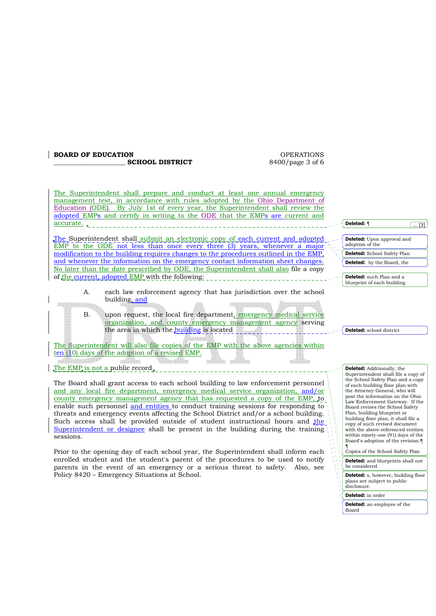### **BOARD OF EDUCATION CONSUMING A REPORT OF EXAMPLE A** SOFTER A REPORT OF EXAMPLE A REPORT OF EXAMPLE A REPORT OF EXAMPLE A REPORT OF EXAMPLE A REPORT OF EXAMPLE A REPORT OF EXAMPLE A REPORT OF EXAMPLE A REPORT OF EXAMPLE

**SCHOOL DISTRICT** 8400/page 3 of 6

The Superintendent shall prepare and conduct at least one annual emergency management test, in accordance with rules adopted by the Ohio Department of Education (ODE). By July 1st of every year, the Superintendent shall review the adopted EMPs and certify in writing to the ODE that the EMPs are current and accurate.

The Superintendent shall submit an electronic copy of each current and adopted EMP to the ODE not less than once every three (3) years, whenever a major modification to the building requires changes to the procedures outlined in the EMP, and whenever the information on the emergency contact information sheet changes. No later than the date prescribed by ODE, the Superintendent shall also file a copy of the current, adopted EMP with the following:

- A. each law enforcement agency that has jurisdiction over the school building, and <u> Liberatu</u>
	- B. upon request, the local fire department, emergency medical service organization, and county emergency management agency serving the area in which the building is located

The Superintendent will also file copies of the EMP with the above agencies within ten (10) days of the adoption of a revised EMP.

The EMP is not a public record.

The Board shall grant access to each school building to law enforcement personnel and any local fire department, emergency medical service organization, and/or county emergency management agency that has requested a copy of the EMP, to enable such personnel and entities to conduct training sessions for responding to threats and emergency events affecting the School District and/or a school building. Such access shall be provided outside of student instructional hours and the Superintendent or designee shall be present in the building during the training sessions.

Prior to the opening day of each school year, the Superintendent shall inform each enrolled student and the student's parent of the procedures to be used to notify parents in the event of an emergency or a serious threat to safety. Also, see Policy 8420 – Emergency Situations at School.

**Deleted:** ¶

**Deleted:** Upon approval and adoption of the

 $\overline{.131}$ 

**Deleted:** School Safety Plan **Deleted:** by the Board, the

**Deleted:** such Plan and a blueprint of each building

**Deleted:** school district

**Deleted:** Additionally, the Superintendent shall file a copy of the School Safety Plan and a copy of each building floor plan with the Attorney General, who will post the information on the Ohio Law Enforcement Gateway. If the Board revises the School Safety Plan, building blueprint or building floor plan, it shall file a copy of such revised document with the above-referenced entities within ninety-one (91) days of the Board's adoption of the revision.¶ ¶ Copies of the School Safety Plan **Deleted:** and blueprints shall not be considered **Deleted:** s, however, building floor

plans are subject to public .<br>disclosure.

**Deleted:** in order

**Deleted:** an employee of the Board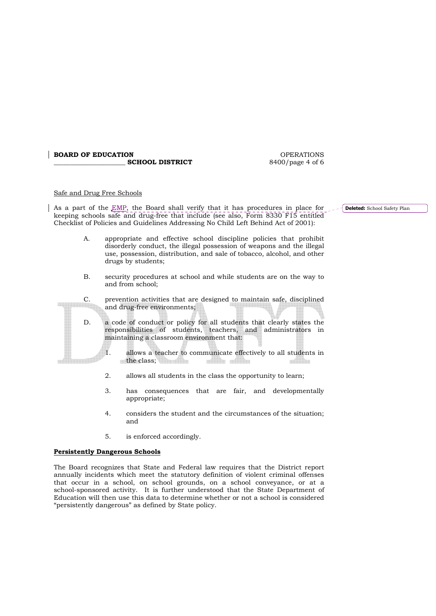#### **BOARD OF EDUCATION**<br> **SCHOOL DISTRICT** 6400/page 4 of 6 SCHOOL DISTRICT

#### Safe and Drug Free Schools

As a part of the EMP, the Board shall verify that it has procedures in place for keeping schools safe and drug-free that include (see also, Form 8330 F15 entitled Checklist of Policies and Guidelines Addressing No Child Left Behind Act of 2001):

- A. appropriate and effective school discipline policies that prohibit disorderly conduct, the illegal possession of weapons and the illegal use, possession, distribution, and sale of tobacco, alcohol, and other drugs by students;
- B. security procedures at school and while students are on the way to and from school;
- C. prevention activities that are designed to maintain safe, disciplined and drug-free environments;
- D. a code of conduct or policy for all students that clearly states the responsibilities of students, teachers, and administrators in maintaining a classroom environment that:
	- 1. allows a teacher to communicate effectively to all students in the class; **The of the nille** ni ser
	- 2. allows all students in the class the opportunity to learn;
	- 3. has consequences that are fair, and developmentally appropriate;
	- 4. considers the student and the circumstances of the situation; and
	- 5. is enforced accordingly.

#### **Persistently Dangerous Schools**

e e de la f

The Board recognizes that State and Federal law requires that the District report annually incidents which meet the statutory definition of violent criminal offenses that occur in a school, on school grounds, on a school conveyance, or at a school-sponsored activity. It is further understood that the State Department of Education will then use this data to determine whether or not a school is considered "persistently dangerous" as defined by State policy.

**Deleted:** School Safety Plan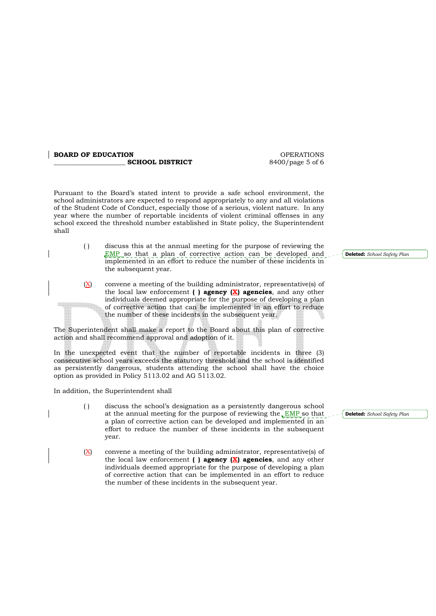## **BOARD OF EDUCATION DECALL ASSESSED ASSESSED ASSESSED ASSESSED ASSESSED ASSESSED ASSESSED ASSESSED ASSESSED ASSESSED ASSESSED ASSESSED ASSESSED AND LODGED AT A LOCAL AND LODGED AT A LOCAL AND LODGED AT A LOCAL AND LODGED**

**SCHOOL DISTRICT** 8400/page 5 of 6

Pursuant to the Board's stated intent to provide a safe school environment, the school administrators are expected to respond appropriately to any and all violations of the Student Code of Conduct, especially those of a serious, violent nature. In any year where the number of reportable incidents of violent criminal offenses in any school exceed the threshold number established in State policy, the Superintendent shall

- ( ) discuss this at the annual meeting for the purpose of reviewing the **EMP** so that a plan of corrective action can be developed and implemented in an effort to reduce the number of these incidents in the subsequent year.
- $(X)$  convene a meeting of the building administrator, representative(s) of the local law enforcement **( ) agency (X) agencies**, and any other individuals deemed appropriate for the purpose of developing a plan of corrective action that can be implemented in an effort to reduce the number of these incidents in the subsequent year.

The Superintendent shall make a report to the Board about this plan of corrective action and shall recommend approval and adoption of it.

In the unexpected event that the number of reportable incidents in three (3) consecutive school years exceeds the statutory threshold and the school is identified as persistently dangerous, students attending the school shall have the choice option as provided in Policy 5113.02 and AG 5113.02.

In addition, the Superintendent shall

- ( ) discuss the school's designation as a persistently dangerous school at the annual meeting for the purpose of reviewing the EMP so that a plan of corrective action can be developed and implemented in an effort to reduce the number of these incidents in the subsequent year.
- $(X)$  convene a meeting of the building administrator, representative(s) of the local law enforcement **( ) agency (X) agencies**, and any other individuals deemed appropriate for the purpose of developing a plan of corrective action that can be implemented in an effort to reduce the number of these incidents in the subsequent year.

**Deleted:** *School Safety Plan*

**Deleted:** *School Safety Plan*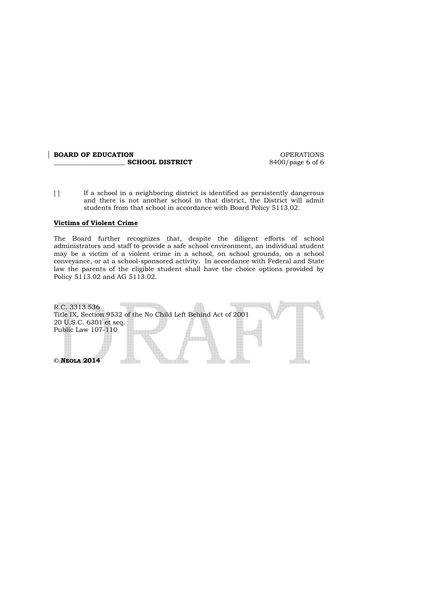# **BOARD OF EDUCATION SCHOOL DISTRICT** 6400/page 6 of 6

**\_\_\_\_\_\_\_\_\_\_\_\_\_\_\_\_\_\_\_\_\_\_ SCHOOL DISTRICT** 8400/page 6 of 6

[ ] If a school in a neighboring district is identified as persistently dangerous and there is not another school in that district, the District will admit students from that school in accordance with Board Policy 5113.02.

#### **Victims of Violent Crime**

The Board further recognizes that, despite the diligent efforts of school administrators and staff to provide a safe school environment, an individual student may be a victim of a violent crime in a school, on school grounds, on a school conveyance, or at a school-sponsored activity. In accordance with Federal and State law the parents of the eligible student shall have the choice options provided by Policy 5113.02 and AG 5113.02.